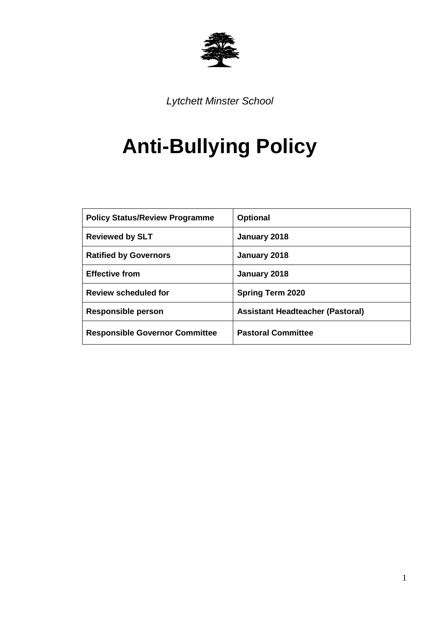

*Lytchett Minster School*

# **Anti-Bullying Policy**

| <b>Policy Status/Review Programme</b> | <b>Optional</b>                         |
|---------------------------------------|-----------------------------------------|
| <b>Reviewed by SLT</b>                | January 2018                            |
| <b>Ratified by Governors</b>          | January 2018                            |
| <b>Effective from</b>                 | January 2018                            |
| <b>Review scheduled for</b>           | <b>Spring Term 2020</b>                 |
| Responsible person                    | <b>Assistant Headteacher (Pastoral)</b> |
| <b>Responsible Governor Committee</b> | <b>Pastoral Committee</b>               |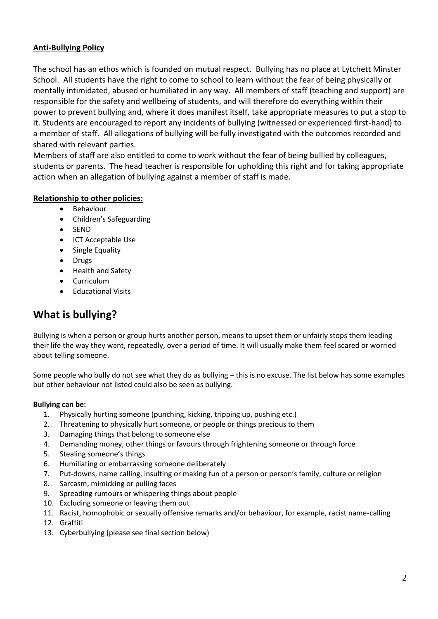## **Anti-Bullying Policy**

The school has an ethos which is founded on mutual respect. Bullying has no place at Lytchett Minster School. All students have the right to come to school to learn without the fear of being physically or mentally intimidated, abused or humiliated in any way. All members of staff (teaching and support) are responsible for the safety and wellbeing of students, and will therefore do everything within their power to prevent bullying and, where it does manifest itself, take appropriate measures to put a stop to it. Students are encouraged to report any incidents of bullying (witnessed or experienced first-hand) to a member of staff. All allegations of bullying will be fully investigated with the outcomes recorded and shared with relevant parties.

Members of staff are also entitled to come to work without the fear of being bullied by colleagues, students or parents. The head teacher is responsible for upholding this right and for taking appropriate action when an allegation of bullying against a member of staff is made.

## **Relationship to other policies:**

- Behaviour
- Children's Safeguarding
- SEND
- ICT Acceptable Use
- Single Equality
- Drugs
- Health and Safety
- Curriculum
- Educational Visits

## **What is bullying?**

Bullying is when a person or group hurts another person, means to upset them or unfairly stops them leading their life the way they want, repeatedly, over a period of time. It will usually make them feel scared or worried about telling someone.

Some people who bully do not see what they do as bullying – this is no excuse. The list below has some examples but other behaviour not listed could also be seen as bullying.

### **Bullying can be:**

- 1. Physically hurting someone (punching, kicking, tripping up, pushing etc.)
- 2. Threatening to physically hurt someone, or people or things precious to them
- 3. Damaging things that belong to someone else
- 4. Demanding money, other things or favours through frightening someone or through force
- 5. Stealing someone's things
- 6. Humiliating or embarrassing someone deliberately
- 7. Put-downs, name calling, insulting or making fun of a person or person's family, culture or religion
- 8. Sarcasm, mimicking or pulling faces
- 9. Spreading rumours or whispering things about people
- 10. Excluding someone or leaving them out
- 11. Racist, homophobic or sexually offensive remarks and/or behaviour, for example, racist name-calling
- 12. Graffiti
- 13. Cyberbullying (please see final section below)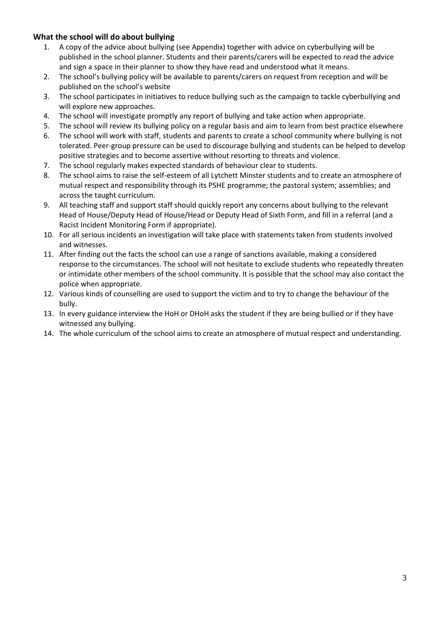## **What the school will do about bullying**

- 1. A copy of the advice about bullying (see Appendix) together with advice on cyberbullying will be published in the school planner. Students and their parents/carers will be expected to read the advice and sign a space in their planner to show they have read and understood what it means.
- 2. The school's bullying policy will be available to parents/carers on request from reception and will be published on the school's website
- 3. The school participates in initiatives to reduce bullying such as the campaign to tackle cyberbullying and will explore new approaches.
- 4. The school will investigate promptly any report of bullying and take action when appropriate.
- 5. The school will review its bullying policy on a regular basis and aim to learn from best practice elsewhere
- 6. The school will work with staff, students and parents to create a school community where bullying is not tolerated. Peer-group pressure can be used to discourage bullying and students can be helped to develop positive strategies and to become assertive without resorting to threats and violence.
- 7. The school regularly makes expected standards of behaviour clear to students.
- 8. The school aims to raise the self-esteem of all Lytchett Minster students and to create an atmosphere of mutual respect and responsibility through its PSHE programme; the pastoral system; assemblies; and across the taught curriculum.
- 9. All teaching staff and support staff should quickly report any concerns about bullying to the relevant Head of House/Deputy Head of House/Head or Deputy Head of Sixth Form, and fill in a referral (and a Racist Incident Monitoring Form if appropriate).
- 10. For all serious incidents an investigation will take place with statements taken from students involved and witnesses.
- 11. After finding out the facts the school can use a range of sanctions available, making a considered response to the circumstances. The school will not hesitate to exclude students who repeatedly threaten or intimidate other members of the school community. It is possible that the school may also contact the police when appropriate.
- 12. Various kinds of counselling are used to support the victim and to try to change the behaviour of the bully.
- 13. In every guidance interview the HoH or DHoH asks the student if they are being bullied or if they have witnessed any bullying.
- 14. The whole curriculum of the school aims to create an atmosphere of mutual respect and understanding.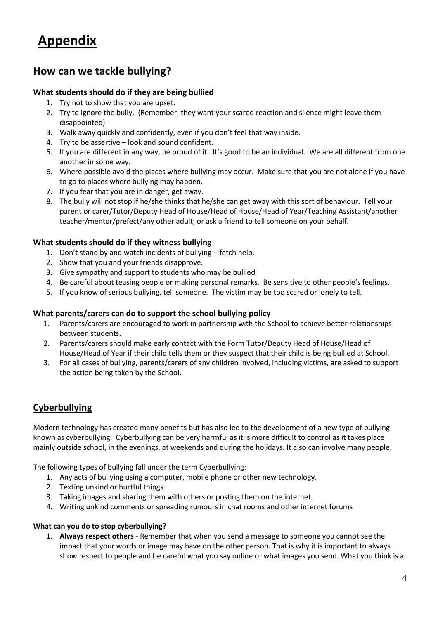## **Appendix**

## **How can we tackle bullying?**

## **What students should do if they are being bullied**

- 1. Try not to show that you are upset.
- 2. Try to ignore the bully. (Remember, they want your scared reaction and silence might leave them disappointed)
- 3. Walk away quickly and confidently, even if you don't feel that way inside.
- 4. Try to be assertive look and sound confident.
- 5. If you are different in any way, be proud of it. It's good to be an individual. We are all different from one another in some way.
- 6. Where possible avoid the places where bullying may occur. Make sure that you are not alone if you have to go to places where bullying may happen.
- 7. If you fear that you are in danger, get away.
- 8. The bully will not stop if he/she thinks that he/she can get away with this sort of behaviour. Tell your parent or carer/Tutor/Deputy Head of House/Head of House/Head of Year/Teaching Assistant/another teacher/mentor/prefect/any other adult; or ask a friend to tell someone on your behalf.

## **What students should do if they witness bullying**

- 1. Don't stand by and watch incidents of bullying fetch help.
- 2. Show that you and your friends disapprove.
- 3. Give sympathy and support to students who may be bullied
- 4. Be careful about teasing people or making personal remarks. Be sensitive to other people's feelings.
- 5. If you know of serious bullying, tell someone. The victim may be too scared or lonely to tell.

### **What parents/carers can do to support the school bullying policy**

- 1. Parents/carers are encouraged to work in partnership with the School to achieve better relationships between students.
- 2. Parents/carers should make early contact with the Form Tutor/Deputy Head of House/Head of House/Head of Year if their child tells them or they suspect that their child is being bullied at School.
- 3. For all cases of bullying, parents/carers of any children involved, including victims, are asked to support the action being taken by the School.

## **Cyberbullying**

Modern technology has created many benefits but has also led to the development of a new type of bullying known as cyberbullying. Cyberbullying can be very harmful as it is more difficult to control as it takes place mainly outside school, in the evenings, at weekends and during the holidays. It also can involve many people.

The following types of bullying fall under the term Cyberbullying:

- 1. Any acts of bullying using a computer, mobile phone or other new technology.
- 2. Texting unkind or hurtful things.
- 3. Taking images and sharing them with others or posting them on the internet.
- 4. Writing unkind comments or spreading rumours in chat rooms and other internet forums

### **What can you do to stop cyberbullying?**

1. **Always respect others** - Remember that when you send a message to someone you cannot see the impact that your words or image may have on the other person. That is why it is important to always show respect to people and be careful what you say online or what images you send. What you think is a